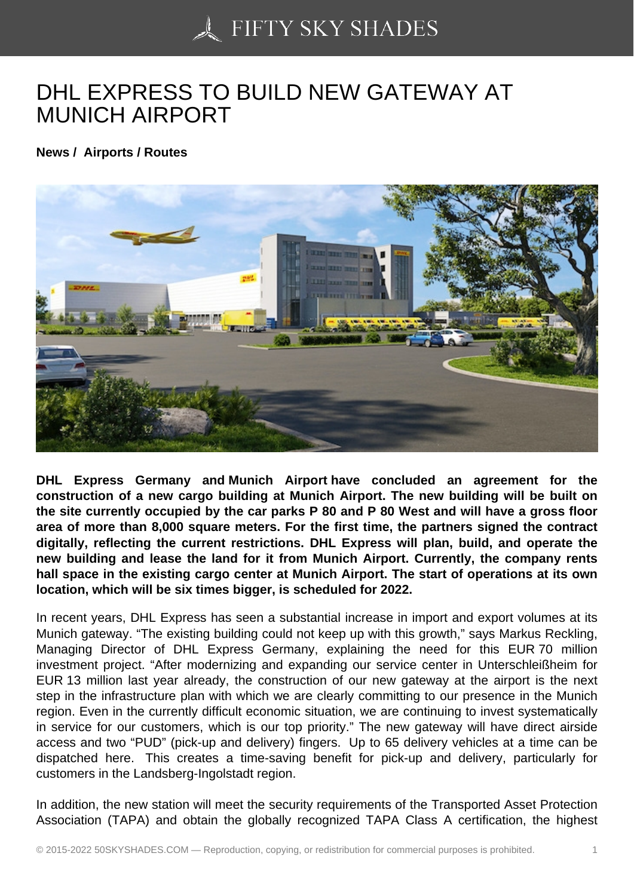## [DHL EXPRESS TO BU](https://50skyshades.com)ILD NEW GATEWAY AT MUNICH AIRPORT

News / Airports / Routes

DHL Express Germany and Munich Airport have concluded an agreement for the construction of a new cargo building at Munich Airport. The new building will be built on the site currently occupied by the car parks P 80 and P 80 West and will have a gross floor area of more than 8,000 square meters. For the first time, the partners signed the contract digitally, reflecting the current restrictions. DHL Express will plan, build, and operate the new building and lease the land for it from Munich Airport. Currently, the company rents hall space in the existing cargo center at Munich Airport. The start of operations at its own location, which will be six times bigger, is scheduled for 2022.

In recent years, DHL Express has seen a substantial increase in import and export volumes at its Munich gateway. "The existing building could not keep up with this growth," says Markus Reckling, Managing Director of DHL Express Germany, explaining the need for this EUR 70 million investment project. "After modernizing and expanding our service center in Unterschleißheim for EUR 13 million last year already, the construction of our new gateway at the airport is the next step in the infrastructure plan with which we are clearly committing to our presence in the Munich region. Even in the currently difficult economic situation, we are continuing to invest systematically in service for our customers, which is our top priority." The new gateway will have direct airside access and two "PUD" (pick-up and delivery) fingers. Up to 65 delivery vehicles at a time can be dispatched here. This creates a time-saving benefit for pick-up and delivery, particularly for customers in the Landsberg-Ingolstadt region.

In addition, the new station will meet the security requirements of the Transported Asset Protection Association (TAPA) and obtain the globally recognized TAPA Class A certification, the highest